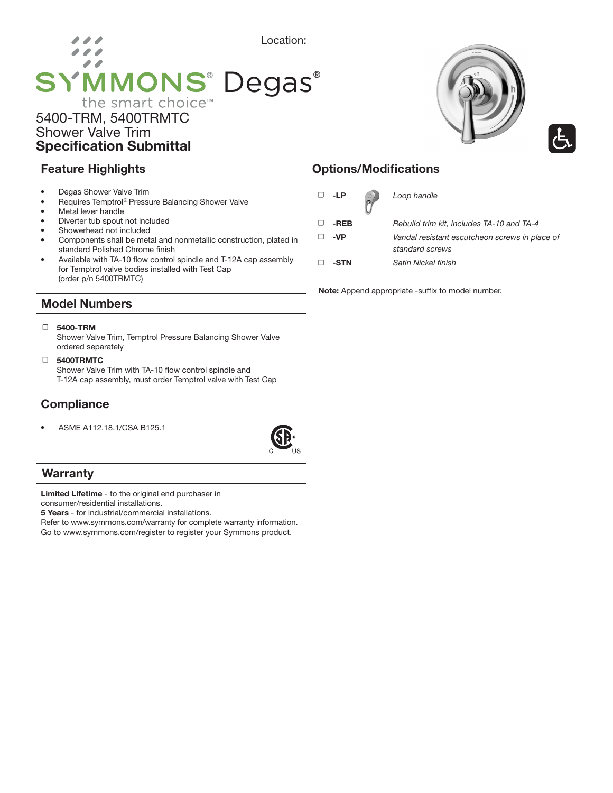# Location:  $\overline{\phantom{a}}$ **SYMMONS® Degas®** the smart choice<sup>™</sup>

## 5400-TRM, 5400TRMTC Shower Valve Trim Specification Submittal

- Degas Shower Valve Trim
- Requires Temptrol® Pressure Balancing Shower Valve
- Metal lever handle
- Diverter tub spout not included
- Showerhead not included
- Components shall be metal and nonmetallic construction, plated in standard Polished Chrome finish
- Available with TA-10 flow control spindle and T-12A cap assembly for Temptrol valve bodies installed with Test Cap (order p/n 5400TRMTC)

#### Model Numbers

#### ☐ 5400-TRM

Shower Valve Trim, Temptrol Pressure Balancing Shower Valve ordered separately

☐ 5400TRMTC

Shower Valve Trim with TA-10 flow control spindle and T-12A cap assembly, must order Temptrol valve with Test Cap

### **Compliance**

• ASME A112.18.1/CSA B125.1



### **Warranty**

Limited Lifetime - to the original end purchaser in consumer/residential installations.

5 Years - for industrial/commercial installations.

Refer to www.symmons.com/warranty for complete warranty information. Go to www.symmons.com/register to register your Symmons product.

## Feature Highlights **Contract Contract Contract Contract Contract Contract Contract Contract Contract Contract Contract Contract Contract Contract Contract Contract Contract Contract Contract Contract Contract Contract Cont**

| □ | -LP  | O <sub>l</sub> | Loop handle                                    |
|---|------|----------------|------------------------------------------------|
| □ | -REB |                | Rebuild trim kit, includes TA-10 and TA-4      |
| п | -VP  |                | Vandal resistant escutcheon screws in place of |
|   |      |                | standard screws                                |
| □ | -STN |                | Satin Nickel finish                            |

Note: Append appropriate -suffix to model number.